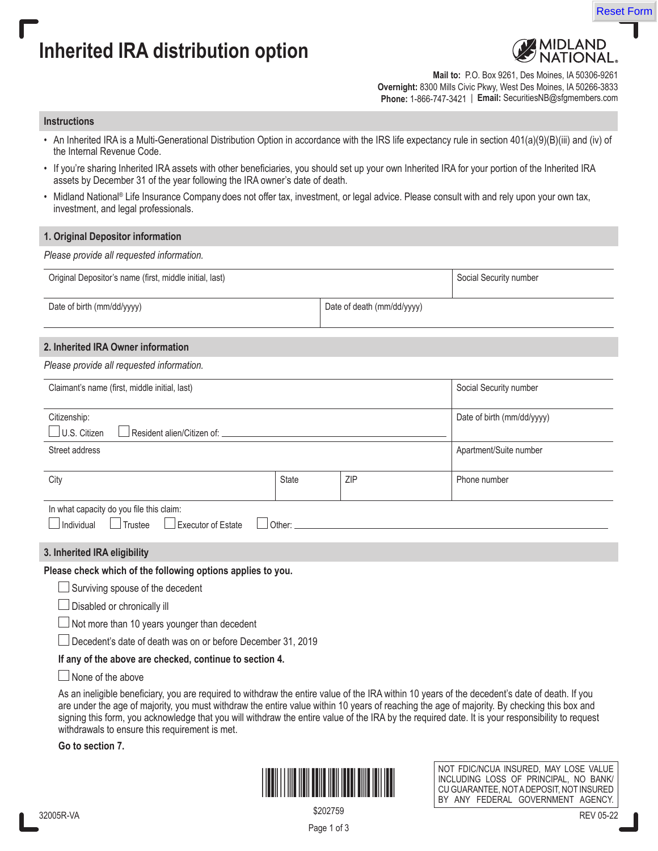

# **Inherited IRA distribution option**



**Mail to:** P.O. Box 9261, Des Moines, IA 50306-9261 **Overnight:** 8300 Mills Civic Pkwy, West Des Moines, IA 50266-3833 **Phone:** 1-866-747-3421 | **Email:** SecuritiesNB@sfgmembers.com

#### **Instructions**

- An Inherited IRA is a Multi-Generational Distribution Option in accordance with the IRS life expectancy rule in section 401(a)(9)(B)(iii) and (iv) of the Internal Revenue Code.
- If you're sharing Inherited IRA assets with other beneficiaries, you should set up your own Inherited IRA for your portion of the Inherited IRA assets by December 31 of the year following the IRA owner's date of death.
- Midland National® Life Insurance Company does not offer tax, investment, or legal advice. Please consult with and rely upon your own tax, investment, and legal professionals.

### **1. Original Depositor information**

*Please provide all requested information.*

| Original Depositor's name (first, middle initial, last) | Social Security number     |  |
|---------------------------------------------------------|----------------------------|--|
| Date of birth (mm/dd/yyyy)                              | Date of death (mm/dd/yyyy) |  |
|                                                         |                            |  |

## **2. Inherited IRA Owner information**

|  |  |  |  | Please provide all requested information. |
|--|--|--|--|-------------------------------------------|
|--|--|--|--|-------------------------------------------|

| Claimant's name (first, middle initial, last)                |              |            | Social Security number     |
|--------------------------------------------------------------|--------------|------------|----------------------------|
| Citizenship:<br>U.S. Citizen<br>Resident alien/Citizen of: _ |              |            | Date of birth (mm/dd/yyyy) |
| Street address                                               |              |            | Apartment/Suite number     |
| City                                                         | <b>State</b> | <b>ZIP</b> | Phone number               |
| In what capacity do you file this claim:                     |              |            |                            |

**3. Inherited IRA eligibility**

**Please check which of the following options applies to you.** 

 $\Box$ Individual  $\Box$ Trustee  $\Box$  Executor of Estate  $\Box$  Other:

 $\Box$  Surviving spouse of the decedent

Disabled or chronically ill

Not more than 10 years younger than decedent

Decedent's date of death was on or before December 31, 2019

**If any of the above are checked, continue to section 4.** 

 $\Box$  None of the above

As an ineligible beneficiary, you are required to withdraw the entire value of the IRA within 10 years of the decedent's date of death. If you are under the age of majority, you must withdraw the entire value within 10 years of reaching the age of majority. By checking this box and signing this form, you acknowledge that you will withdraw the entire value of the IRA by the required date. It is your responsibility to request withdrawals to ensure this requirement is met.

**Go to section 7.**



NOT FDIC/NCUA INSURED, MAY LOSE VALUE INCLUDING LOSS OF PRINCIPAL, NO BANK/ CU GUARANTEE, NOT A DEPOSIT, NOT INSURED BY ANY FEDERAL GOVERNMENT AGENCY.

Page 1 of 3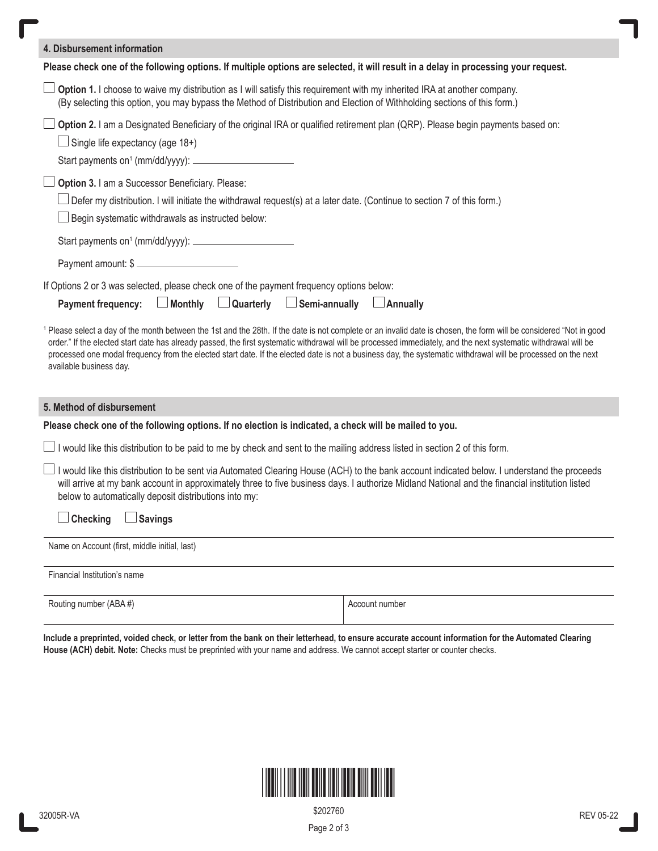| 4. Disbursement information                                                                                                                                                                                                                                                                                                                                                        |                |  |  |
|------------------------------------------------------------------------------------------------------------------------------------------------------------------------------------------------------------------------------------------------------------------------------------------------------------------------------------------------------------------------------------|----------------|--|--|
| Please check one of the following options. If multiple options are selected, it will result in a delay in processing your request.                                                                                                                                                                                                                                                 |                |  |  |
| $\Box$ Option 1. I choose to waive my distribution as I will satisfy this requirement with my inherited IRA at another company.<br>(By selecting this option, you may bypass the Method of Distribution and Election of Withholding sections of this form.)                                                                                                                        |                |  |  |
| Option 2. I am a Designated Beneficiary of the original IRA or qualified retirement plan (QRP). Please begin payments based on:<br>$\Box$ Single life expectancy (age 18+)                                                                                                                                                                                                         |                |  |  |
| Option 3. I am a Successor Beneficiary. Please:<br>$\Box$ Defer my distribution. I will initiate the withdrawal request(s) at a later date. (Continue to section 7 of this form.)<br>Begin systematic withdrawals as instructed below:<br>Start payments on <sup>1</sup> (mm/dd/yyyy): ____________________________<br>Payment amount: \$                                          |                |  |  |
| If Options 2 or 3 was selected, please check one of the payment frequency options below:<br>$\Box$ Monthly $\Box$ Quarterly<br>$\Box$ Semi-annually $\Box$ Annually<br><b>Payment frequency:</b><br><sup>1</sup> Please select a day of the month between the 1st and the 28th. If the date is not complete or an invalid date is chosen, the form will be considered "Not in good |                |  |  |
| order." If the elected start date has already passed, the first systematic withdrawal will be processed immediately, and the next systematic withdrawal will be<br>processed one modal frequency from the elected start date. If the elected date is not a business day, the systematic withdrawal will be processed on the next<br>available business day.                        |                |  |  |
| 5. Method of disbursement                                                                                                                                                                                                                                                                                                                                                          |                |  |  |
| Please check one of the following options. If no election is indicated, a check will be mailed to you.                                                                                                                                                                                                                                                                             |                |  |  |
| □ I would like this distribution to be paid to me by check and sent to the mailing address listed in section 2 of this form.                                                                                                                                                                                                                                                       |                |  |  |
| I would like this distribution to be sent via Automated Clearing House (ACH) to the bank account indicated below. I understand the proceeds<br>will arrive at my bank account in approximately three to five business days. I authorize Midland National and the financial institution listed<br>below to automatically deposit distributions into my:                             |                |  |  |
| <b>Checking</b><br><b>Savings</b>                                                                                                                                                                                                                                                                                                                                                  |                |  |  |
| Name on Account (first, middle initial, last)                                                                                                                                                                                                                                                                                                                                      |                |  |  |
| Financial Institution's name                                                                                                                                                                                                                                                                                                                                                       |                |  |  |
| Routing number (ABA#)                                                                                                                                                                                                                                                                                                                                                              | Account number |  |  |

**Include a preprinted, voided check, or letter from the bank on their letterhead, to ensure accurate account information for the Automated Clearing House (ACH) debit. Note:** Checks must be preprinted with your name and address. We cannot accept starter or counter checks.